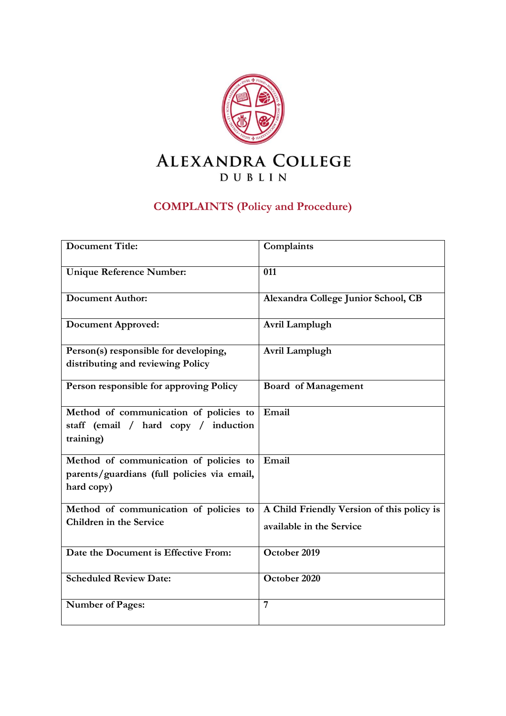

# **COMPLAINTS (Policy and Procedure)**

| <b>Document Title:</b>                      | Complaints                                 |
|---------------------------------------------|--------------------------------------------|
| <b>Unique Reference Number:</b>             | 011                                        |
| <b>Document Author:</b>                     | Alexandra College Junior School, CB        |
| <b>Document Approved:</b>                   | Avril Lamplugh                             |
| Person(s) responsible for developing,       | Avril Lamplugh                             |
| distributing and reviewing Policy           |                                            |
| Person responsible for approving Policy     | <b>Board of Management</b>                 |
| Method of communication of policies to      | Email                                      |
| staff (email / hard copy /<br>induction     |                                            |
| training)                                   |                                            |
| Method of communication of policies to      | Email                                      |
| parents/guardians (full policies via email, |                                            |
| hard copy)                                  |                                            |
| Method of communication of policies to      | A Child Friendly Version of this policy is |
| Children in the Service                     | available in the Service                   |
| Date the Document is Effective From:        | October 2019                               |
| <b>Scheduled Review Date:</b>               | October 2020                               |
| <b>Number of Pages:</b>                     | 7                                          |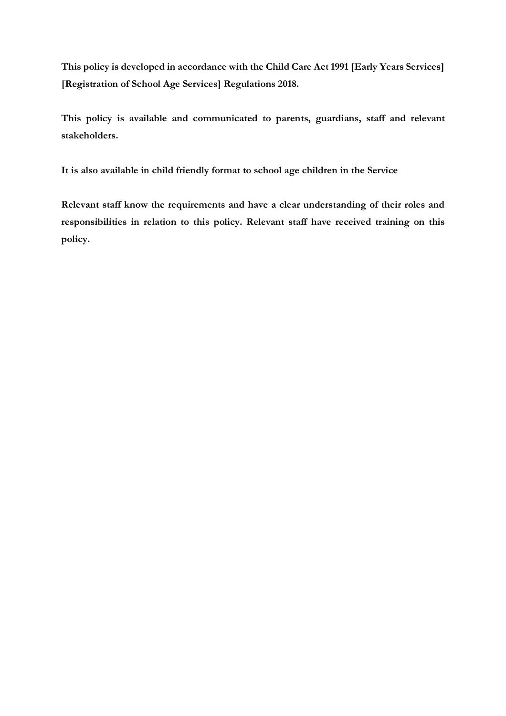**This policy is developed in accordance with the Child Care Act 1991 [Early Years Services] [Registration of School Age Services] Regulations 2018.**

**This policy is available and communicated to parents, guardians, staff and relevant stakeholders.**

**It is also available in child friendly format to school age children in the Service**

**Relevant staff know the requirements and have a clear understanding of their roles and responsibilities in relation to this policy. Relevant staff have received training on this policy.**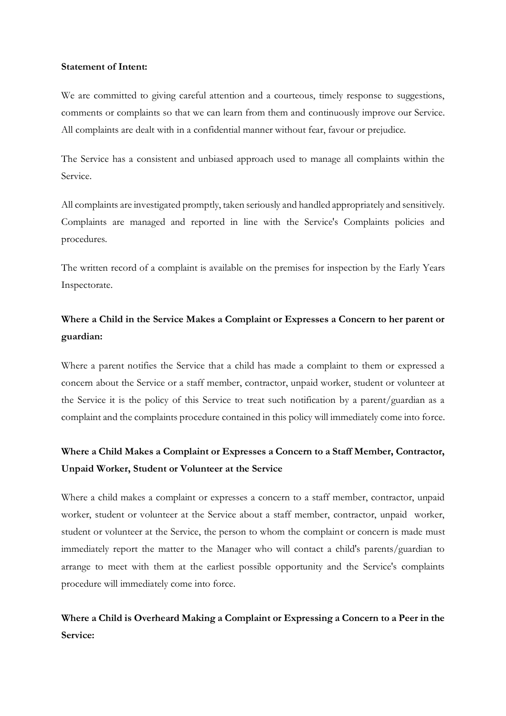#### **Statement of Intent:**

We are committed to giving careful attention and a courteous, timely response to suggestions, comments or complaints so that we can learn from them and continuously improve our Service. All complaints are dealt with in a confidential manner without fear, favour or prejudice.

The Service has a consistent and unbiased approach used to manage all complaints within the Service.

All complaints are investigated promptly, taken seriously and handled appropriately and sensitively. Complaints are managed and reported in line with the Service's Complaints policies and procedures.

The written record of a complaint is available on the premises for inspection by the Early Years Inspectorate.

## **Where a Child in the Service Makes a Complaint or Expresses a Concern to her parent or guardian:**

Where a parent notifies the Service that a child has made a complaint to them or expressed a concern about the Service or a staff member, contractor, unpaid worker, student or volunteer at the Service it is the policy of this Service to treat such notification by a parent/guardian as a complaint and the complaints procedure contained in this policy will immediately come into force.

### **Where a Child Makes a Complaint or Expresses a Concern to a Staff Member, Contractor, Unpaid Worker, Student or Volunteer at the Service**

Where a child makes a complaint or expresses a concern to a staff member, contractor, unpaid worker, student or volunteer at the Service about a staff member, contractor, unpaid worker, student or volunteer at the Service, the person to whom the complaint or concern is made must immediately report the matter to the Manager who will contact a child's parents/guardian to arrange to meet with them at the earliest possible opportunity and the Service's complaints procedure will immediately come into force.

### **Where a Child is Overheard Making a Complaint or Expressing a Concern to a Peer in the Service:**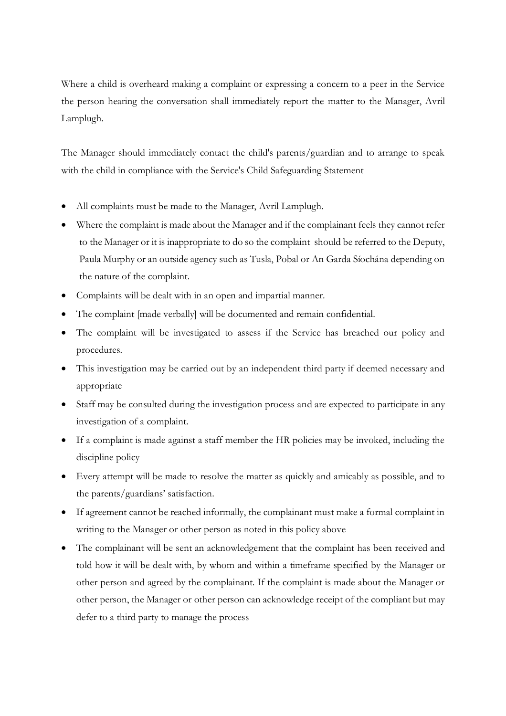Where a child is overheard making a complaint or expressing a concern to a peer in the Service the person hearing the conversation shall immediately report the matter to the Manager, Avril Lamplugh.

The Manager should immediately contact the child's parents/guardian and to arrange to speak with the child in compliance with the Service's Child Safeguarding Statement

- All complaints must be made to the Manager, Avril Lamplugh.
- Where the complaint is made about the Manager and if the complainant feels they cannot refer to the Manager or it is inappropriate to do so the complaint should be referred to the Deputy, Paula Murphy or an outside agency such as Tusla, Pobal or An Garda Síochána depending on the nature of the complaint.
- Complaints will be dealt with in an open and impartial manner.
- The complaint [made verbally] will be documented and remain confidential.
- The complaint will be investigated to assess if the Service has breached our policy and procedures.
- This investigation may be carried out by an independent third party if deemed necessary and appropriate
- Staff may be consulted during the investigation process and are expected to participate in any investigation of a complaint.
- If a complaint is made against a staff member the HR policies may be invoked, including the discipline policy
- Every attempt will be made to resolve the matter as quickly and amicably as possible, and to the parents/guardians' satisfaction.
- If agreement cannot be reached informally, the complainant must make a formal complaint in writing to the Manager or other person as noted in this policy above
- The complainant will be sent an acknowledgement that the complaint has been received and told how it will be dealt with, by whom and within a timeframe specified by the Manager or other person and agreed by the complainant. If the complaint is made about the Manager or other person, the Manager or other person can acknowledge receipt of the compliant but may defer to a third party to manage the process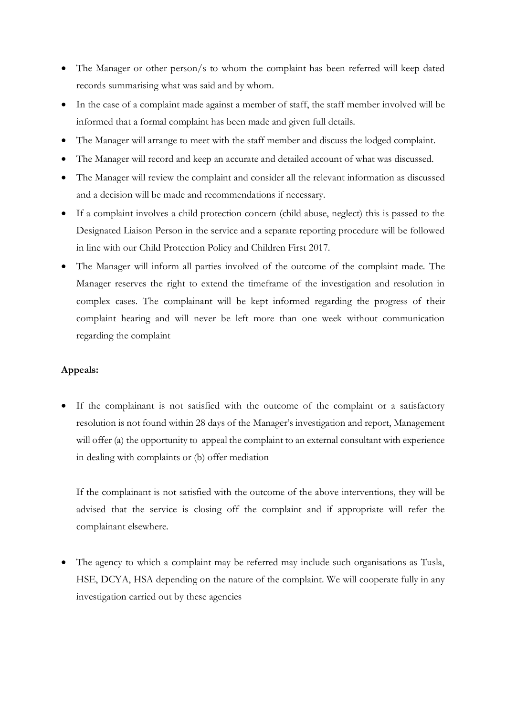- The Manager or other person/s to whom the complaint has been referred will keep dated records summarising what was said and by whom.
- In the case of a complaint made against a member of staff, the staff member involved will be informed that a formal complaint has been made and given full details.
- The Manager will arrange to meet with the staff member and discuss the lodged complaint.
- The Manager will record and keep an accurate and detailed account of what was discussed.
- The Manager will review the complaint and consider all the relevant information as discussed and a decision will be made and recommendations if necessary.
- If a complaint involves a child protection concern (child abuse, neglect) this is passed to the Designated Liaison Person in the service and a separate reporting procedure will be followed in line with our Child Protection Policy and Children First 2017.
- The Manager will inform all parties involved of the outcome of the complaint made. The Manager reserves the right to extend the timeframe of the investigation and resolution in complex cases. The complainant will be kept informed regarding the progress of their complaint hearing and will never be left more than one week without communication regarding the complaint

#### **Appeals:**

If the complainant is not satisfied with the outcome of the complaint or a satisfactory resolution is not found within 28 days of the Manager's investigation and report, Management will offer (a) the opportunity to appeal the complaint to an external consultant with experience in dealing with complaints or (b) offer mediation

If the complainant is not satisfied with the outcome of the above interventions, they will be advised that the service is closing off the complaint and if appropriate will refer the complainant elsewhere.

• The agency to which a complaint may be referred may include such organisations as Tusla, HSE, DCYA, HSA depending on the nature of the complaint. We will cooperate fully in any investigation carried out by these agencies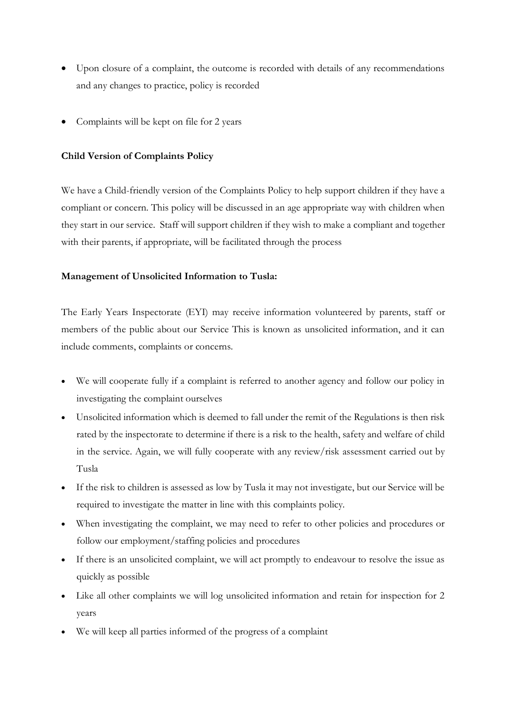- Upon closure of a complaint, the outcome is recorded with details of any recommendations and any changes to practice, policy is recorded
- Complaints will be kept on file for 2 years

#### **Child Version of Complaints Policy**

We have a Child-friendly version of the Complaints Policy to help support children if they have a compliant or concern. This policy will be discussed in an age appropriate way with children when they start in our service. Staff will support children if they wish to make a compliant and together with their parents, if appropriate, will be facilitated through the process

### **Management of Unsolicited Information to Tusla:**

The Early Years Inspectorate (EYI) may receive information volunteered by parents, staff or members of the public about our Service This is known as unsolicited information, and it can include comments, complaints or concerns.

- We will cooperate fully if a complaint is referred to another agency and follow our policy in investigating the complaint ourselves
- Unsolicited information which is deemed to fall under the remit of the Regulations is then risk rated by the inspectorate to determine if there is a risk to the health, safety and welfare of child in the service. Again, we will fully cooperate with any review/risk assessment carried out by Tusla
- If the risk to children is assessed as low by Tusla it may not investigate, but our Service will be required to investigate the matter in line with this complaints policy.
- When investigating the complaint, we may need to refer to other policies and procedures or follow our employment/staffing policies and procedures
- If there is an unsolicited complaint, we will act promptly to endeavour to resolve the issue as quickly as possible
- Like all other complaints we will log unsolicited information and retain for inspection for 2 years
- We will keep all parties informed of the progress of a complaint